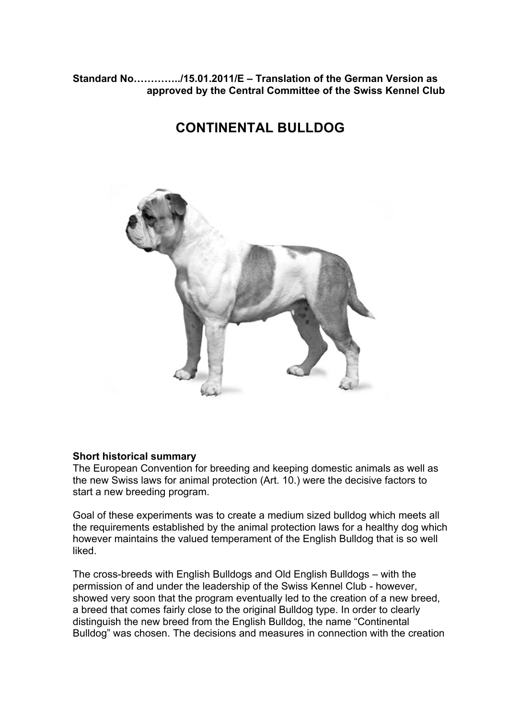# **Standard No…………../15.01.2011/E – Translation of the German Version as approved by the Central Committee of the Swiss Kennel Club**

# **CONTINENTAL BULLDOG**



## **Short historical summary**

The European Convention for breeding and keeping domestic animals as well as the new Swiss laws for animal protection (Art. 10.) were the decisive factors to start a new breeding program.

Goal of these experiments was to create a medium sized bulldog which meets all the requirements established by the animal protection laws for a healthy dog which however maintains the valued temperament of the English Bulldog that is so well liked.

The cross-breeds with English Bulldogs and Old English Bulldogs – with the permission of and under the leadership of the Swiss Kennel Club - however, showed very soon that the program eventually led to the creation of a new breed, a breed that comes fairly close to the original Bulldog type. In order to clearly distinguish the new breed from the English Bulldog, the name "Continental Bulldog" was chosen. The decisions and measures in connection with the creation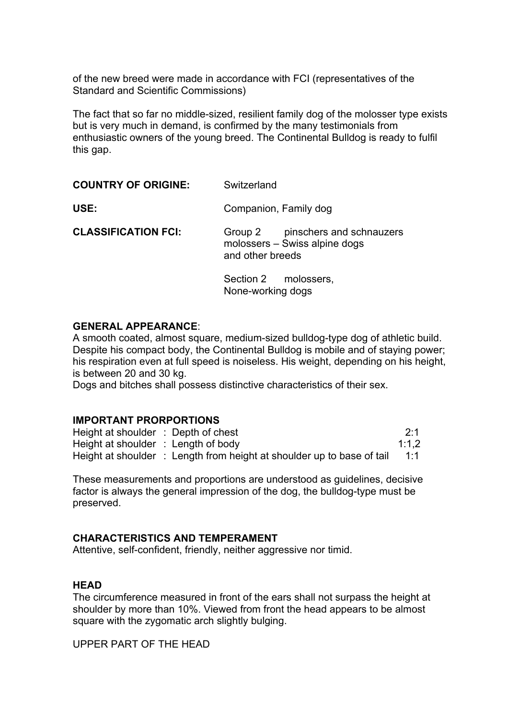of the new breed were made in accordance with FCI (representatives of the Standard and Scientific Commissions)

The fact that so far no middle-sized, resilient family dog of the molosser type exists but is very much in demand, is confirmed by the many testimonials from enthusiastic owners of the young breed. The Continental Bulldog is ready to fulfil this gap.

| <b>COUNTRY OF ORIGINE:</b> | Switzerland                                                                           |
|----------------------------|---------------------------------------------------------------------------------------|
| USE:                       | Companion, Family dog                                                                 |
| <b>CLASSIFICATION FCI:</b> | Group 2 pinschers and schnauzers<br>molossers - Swiss alpine dogs<br>and other breeds |
|                            | Section 2 molossers,<br>None-working dogs                                             |

#### **GENERAL APPEARANCE**:

A smooth coated, almost square, medium-sized bulldog-type dog of athletic build. Despite his compact body, the Continental Bulldog is mobile and of staying power; his respiration even at full speed is noiseless. His weight, depending on his height, is between 20 and 30 kg.

Dogs and bitches shall possess distinctive characteristics of their sex.

#### **IMPORTANT PRORPORTIONS**

Height at shoulder : Depth of chest 2:1 Height at shoulder : Length of body 1:1,2 Height at shoulder : Length from height at shoulder up to base of tail 1:1

These measurements and proportions are understood as guidelines, decisive factor is always the general impression of the dog, the bulldog-type must be preserved.

#### **CHARACTERISTICS AND TEMPERAMENT**

Attentive, self-confident, friendly, neither aggressive nor timid.

#### **HEAD**

The circumference measured in front of the ears shall not surpass the height at shoulder by more than 10%. Viewed from front the head appears to be almost square with the zygomatic arch slightly bulging.

UPPER PART OF THE HEAD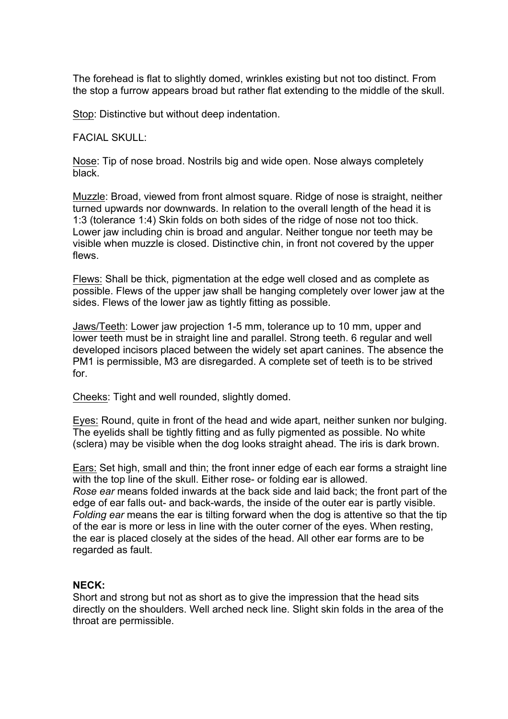The forehead is flat to slightly domed, wrinkles existing but not too distinct. From the stop a furrow appears broad but rather flat extending to the middle of the skull.

Stop: Distinctive but without deep indentation.

FACIAL SKULL:

Nose: Tip of nose broad. Nostrils big and wide open. Nose always completely black.

Muzzle: Broad, viewed from front almost square. Ridge of nose is straight, neither turned upwards nor downwards. In relation to the overall length of the head it is 1:3 (tolerance 1:4) Skin folds on both sides of the ridge of nose not too thick. Lower jaw including chin is broad and angular. Neither tongue nor teeth may be visible when muzzle is closed. Distinctive chin, in front not covered by the upper flews.

Flews: Shall be thick, pigmentation at the edge well closed and as complete as possible. Flews of the upper jaw shall be hanging completely over lower jaw at the sides. Flews of the lower jaw as tightly fitting as possible.

Jaws/Teeth: Lower jaw projection 1-5 mm, tolerance up to 10 mm, upper and lower teeth must be in straight line and parallel. Strong teeth. 6 regular and well developed incisors placed between the widely set apart canines. The absence the PM1 is permissible, M3 are disregarded. A complete set of teeth is to be strived for.

Cheeks: Tight and well rounded, slightly domed.

Eyes: Round, quite in front of the head and wide apart, neither sunken nor bulging. The eyelids shall be tightly fitting and as fully pigmented as possible. No white (sclera) may be visible when the dog looks straight ahead. The iris is dark brown.

Ears: Set high, small and thin; the front inner edge of each ear forms a straight line with the top line of the skull. Either rose- or folding ear is allowed. *Rose ear* means folded inwards at the back side and laid back; the front part of the edge of ear falls out- and back-wards, the inside of the outer ear is partly visible. *Folding ear* means the ear is tilting forward when the dog is attentive so that the tip of the ear is more or less in line with the outer corner of the eyes. When resting, the ear is placed closely at the sides of the head. All other ear forms are to be regarded as fault.

## **NECK:**

Short and strong but not as short as to give the impression that the head sits directly on the shoulders. Well arched neck line. Slight skin folds in the area of the throat are permissible.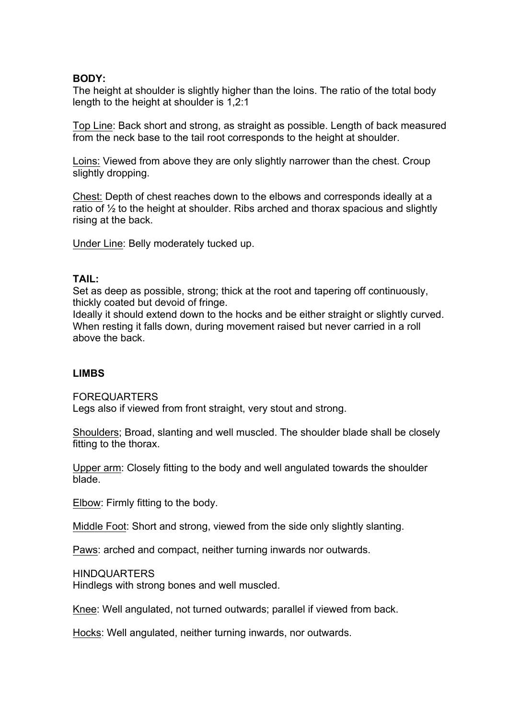#### **BODY:**

The height at shoulder is slightly higher than the loins. The ratio of the total body length to the height at shoulder is 1,2:1

Top Line: Back short and strong, as straight as possible. Length of back measured from the neck base to the tail root corresponds to the height at shoulder.

Loins: Viewed from above they are only slightly narrower than the chest. Croup slightly dropping.

Chest: Depth of chest reaches down to the elbows and corresponds ideally at a ratio of ½ to the height at shoulder. Ribs arched and thorax spacious and slightly rising at the back.

Under Line: Belly moderately tucked up.

#### **TAIL:**

Set as deep as possible, strong; thick at the root and tapering off continuously, thickly coated but devoid of fringe.

Ideally it should extend down to the hocks and be either straight or slightly curved. When resting it falls down, during movement raised but never carried in a roll above the back.

## **LIMBS**

FOREQUARTERS

Legs also if viewed from front straight, very stout and strong.

Shoulders; Broad, slanting and well muscled. The shoulder blade shall be closely fitting to the thorax.

Upper arm: Closely fitting to the body and well angulated towards the shoulder blade.

Elbow: Firmly fitting to the body.

Middle Foot: Short and strong, viewed from the side only slightly slanting.

Paws: arched and compact, neither turning inwards nor outwards.

HINDQUARTERS

Hindlegs with strong bones and well muscled.

Knee: Well angulated, not turned outwards; parallel if viewed from back.

Hocks: Well angulated, neither turning inwards, nor outwards.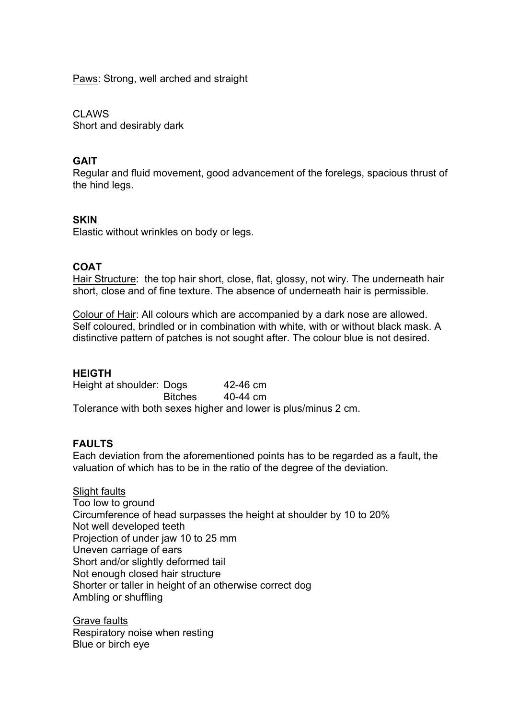Paws: Strong, well arched and straight

CLAWS Short and desirably dark

# **GAIT**

Regular and fluid movement, good advancement of the forelegs, spacious thrust of the hind legs.

# **SKIN**

Elastic without wrinkles on body or legs.

# **COAT**

Hair Structure: the top hair short, close, flat, glossy, not wiry. The underneath hair short, close and of fine texture. The absence of underneath hair is permissible.

Colour of Hair: All colours which are accompanied by a dark nose are allowed. Self coloured, brindled or in combination with white, with or without black mask. A distinctive pattern of patches is not sought after. The colour blue is not desired.

## **HEIGTH**

Height at shoulder: Dogs 42-46 cm Bitches 40-44 cm Tolerance with both sexes higher and lower is plus/minus 2 cm.

## **FAULTS**

Each deviation from the aforementioned points has to be regarded as a fault, the valuation of which has to be in the ratio of the degree of the deviation.

## Slight faults

Too low to ground Circumference of head surpasses the height at shoulder by 10 to 20% Not well developed teeth Projection of under jaw 10 to 25 mm Uneven carriage of ears Short and/or slightly deformed tail Not enough closed hair structure Shorter or taller in height of an otherwise correct dog Ambling or shuffling

Grave faults Respiratory noise when resting Blue or birch eye